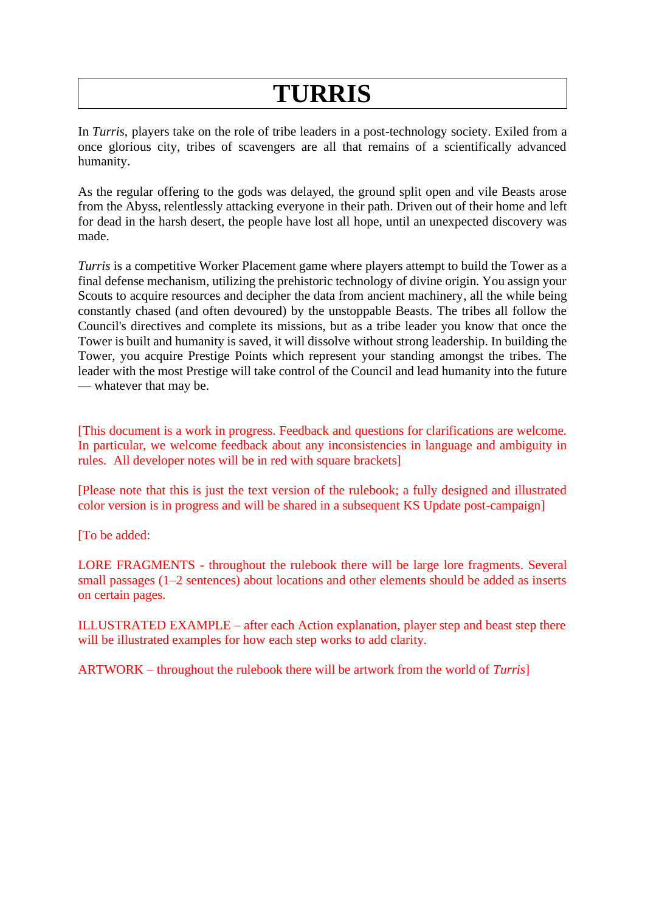## **TURRIS**

In *Turris*, players take on the role of tribe leaders in a post-technology society. Exiled from a once glorious city, tribes of scavengers are all that remains of a scientifically advanced humanity.

As the regular offering to the gods was delayed, the ground split open and vile Beasts arose from the Abyss, relentlessly attacking everyone in their path. Driven out of their home and left for dead in the harsh desert, the people have lost all hope, until an unexpected discovery was made.

*Turris* is a competitive Worker Placement game where players attempt to build the Tower as a final defense mechanism, utilizing the prehistoric technology of divine origin. You assign your Scouts to acquire resources and decipher the data from ancient machinery, all the while being constantly chased (and often devoured) by the unstoppable Beasts. The tribes all follow the Council's directives and complete its missions, but as a tribe leader you know that once the Tower is built and humanity is saved, it will dissolve without strong leadership. In building the Tower, you acquire Prestige Points which represent your standing amongst the tribes. The leader with the most Prestige will take control of the Council and lead humanity into the future — whatever that may be.

[This document is a work in progress. Feedback and questions for clarifications are welcome. In particular, we welcome feedback about any inconsistencies in language and ambiguity in rules. All developer notes will be in red with square brackets]

[Please note that this is just the text version of the rulebook; a fully designed and illustrated color version is in progress and will be shared in a subsequent KS Update post-campaign]

[To be added:

LORE FRAGMENTS - throughout the rulebook there will be large lore fragments. Several small passages (1–2 sentences) about locations and other elements should be added as inserts on certain pages.

ILLUSTRATED EXAMPLE – after each Action explanation, player step and beast step there will be illustrated examples for how each step works to add clarity.

ARTWORK – throughout the rulebook there will be artwork from the world of *Turris*]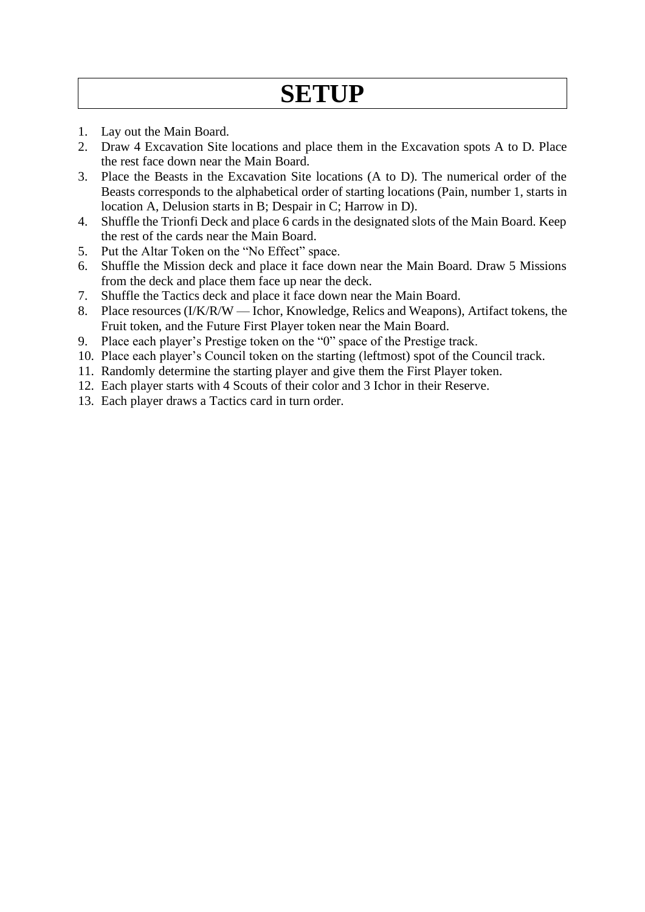## **SETUP**

- 1. Lay out the Main Board.
- 2. Draw 4 Excavation Site locations and place them in the Excavation spots A to D. Place the rest face down near the Main Board.
- 3. Place the Beasts in the Excavation Site locations (A to D). The numerical order of the Beasts corresponds to the alphabetical order of starting locations (Pain, number 1, starts in location A, Delusion starts in B; Despair in C; Harrow in D).
- 4. Shuffle the Trionfi Deck and place 6 cards in the designated slots of the Main Board. Keep the rest of the cards near the Main Board.
- 5. Put the Altar Token on the "No Effect" space.
- 6. Shuffle the Mission deck and place it face down near the Main Board. Draw 5 Missions from the deck and place them face up near the deck.
- 7. Shuffle the Tactics deck and place it face down near the Main Board.
- 8. Place resources (I/K/R/W Ichor, Knowledge, Relics and Weapons), Artifact tokens, the Fruit token, and the Future First Player token near the Main Board.
- 9. Place each player's Prestige token on the "0" space of the Prestige track.
- 10. Place each player's Council token on the starting (leftmost) spot of the Council track.
- 11. Randomly determine the starting player and give them the First Player token.
- 12. Each player starts with 4 Scouts of their color and 3 Ichor in their Reserve.
- 13. Each player draws a Tactics card in turn order.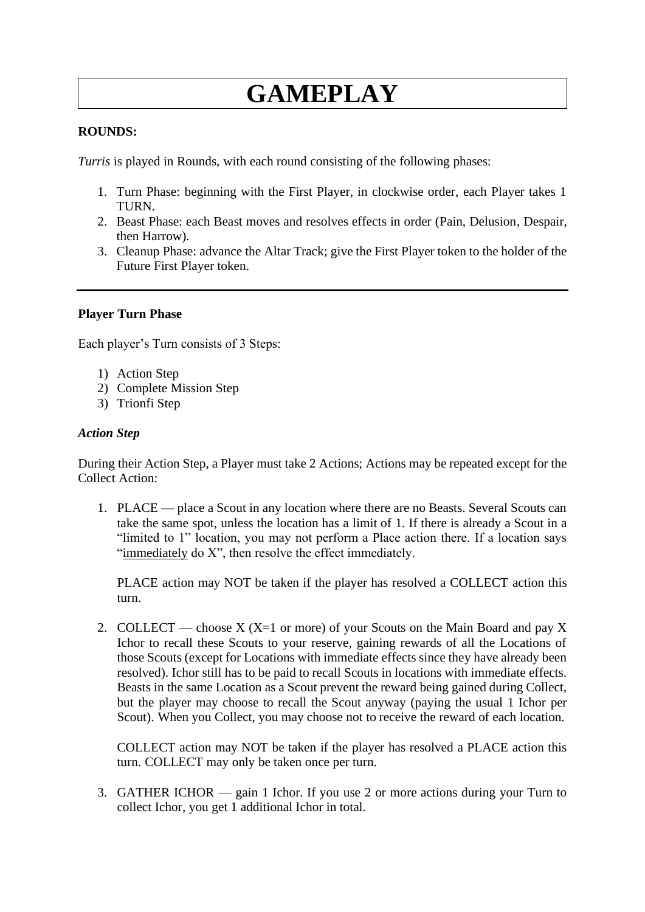# **GAMEPLAY**

#### **ROUNDS:**

*Turris* is played in Rounds, with each round consisting of the following phases:

- 1. Turn Phase: beginning with the First Player, in clockwise order, each Player takes 1 TURN.
- 2. Beast Phase: each Beast moves and resolves effects in order (Pain, Delusion, Despair, then Harrow).
- 3. Cleanup Phase: advance the Altar Track; give the First Player token to the holder of the Future First Player token.

#### **Player Turn Phase**

Each player's Turn consists of 3 Steps:

- 1) Action Step
- 2) Complete Mission Step
- 3) Trionfi Step

#### *Action Step*

During their Action Step, a Player must take 2 Actions; Actions may be repeated except for the Collect Action:

1. PLACE — place a Scout in any location where there are no Beasts. Several Scouts can take the same spot, unless the location has a limit of 1. If there is already a Scout in a "limited to 1" location, you may not perform a Place action there. If a location says "immediately do X", then resolve the effect immediately.

PLACE action may NOT be taken if the player has resolved a COLLECT action this turn.

2. COLLECT — choose  $X$  (X=1 or more) of your Scouts on the Main Board and pay X Ichor to recall these Scouts to your reserve, gaining rewards of all the Locations of those Scouts (except for Locations with immediate effects since they have already been resolved). Ichor still has to be paid to recall Scouts in locations with immediate effects. Beasts in the same Location as a Scout prevent the reward being gained during Collect, but the player may choose to recall the Scout anyway (paying the usual 1 Ichor per Scout). When you Collect, you may choose not to receive the reward of each location.

COLLECT action may NOT be taken if the player has resolved a PLACE action this turn. COLLECT may only be taken once per turn.

3. GATHER ICHOR — gain 1 Ichor. If you use 2 or more actions during your Turn to collect Ichor, you get 1 additional Ichor in total.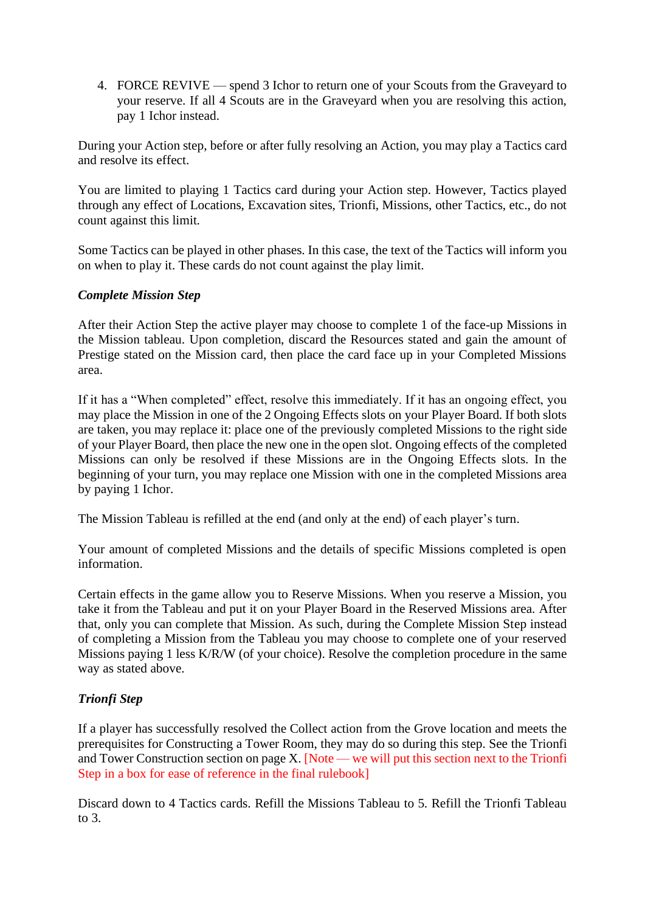4. FORCE REVIVE — spend 3 Ichor to return one of your Scouts from the Graveyard to your reserve. If all 4 Scouts are in the Graveyard when you are resolving this action, pay 1 Ichor instead.

During your Action step, before or after fully resolving an Action, you may play a Tactics card and resolve its effect.

You are limited to playing 1 Tactics card during your Action step. However, Tactics played through any effect of Locations, Excavation sites, Trionfi, Missions, other Tactics, etc., do not count against this limit.

Some Tactics can be played in other phases. In this case, the text of the Tactics will inform you on when to play it. These cards do not count against the play limit.

#### *Complete Mission Step*

After their Action Step the active player may choose to complete 1 of the face-up Missions in the Mission tableau. Upon completion, discard the Resources stated and gain the amount of Prestige stated on the Mission card, then place the card face up in your Completed Missions area.

If it has a "When completed" effect, resolve this immediately. If it has an ongoing effect, you may place the Mission in one of the 2 Ongoing Effects slots on your Player Board. If both slots are taken, you may replace it: place one of the previously completed Missions to the right side of your Player Board, then place the new one in the open slot. Ongoing effects of the completed Missions can only be resolved if these Missions are in the Ongoing Effects slots. In the beginning of your turn, you may replace one Mission with one in the completed Missions area by paying 1 Ichor.

The Mission Tableau is refilled at the end (and only at the end) of each player's turn.

Your amount of completed Missions and the details of specific Missions completed is open information.

Certain effects in the game allow you to Reserve Missions. When you reserve a Mission, you take it from the Tableau and put it on your Player Board in the Reserved Missions area. After that, only you can complete that Mission. As such, during the Complete Mission Step instead of completing a Mission from the Tableau you may choose to complete one of your reserved Missions paying 1 less K/R/W (of your choice). Resolve the completion procedure in the same way as stated above.

### *Trionfi Step*

If a player has successfully resolved the Collect action from the Grove location and meets the prerequisites for Constructing a Tower Room, they may do so during this step. See the Trionfi and Tower Construction section on page X. [Note — we will put this section next to the Trionfi Step in a box for ease of reference in the final rulebook]

Discard down to 4 Tactics cards. Refill the Missions Tableau to 5. Refill the Trionfi Tableau to  $3<sub>l</sub>$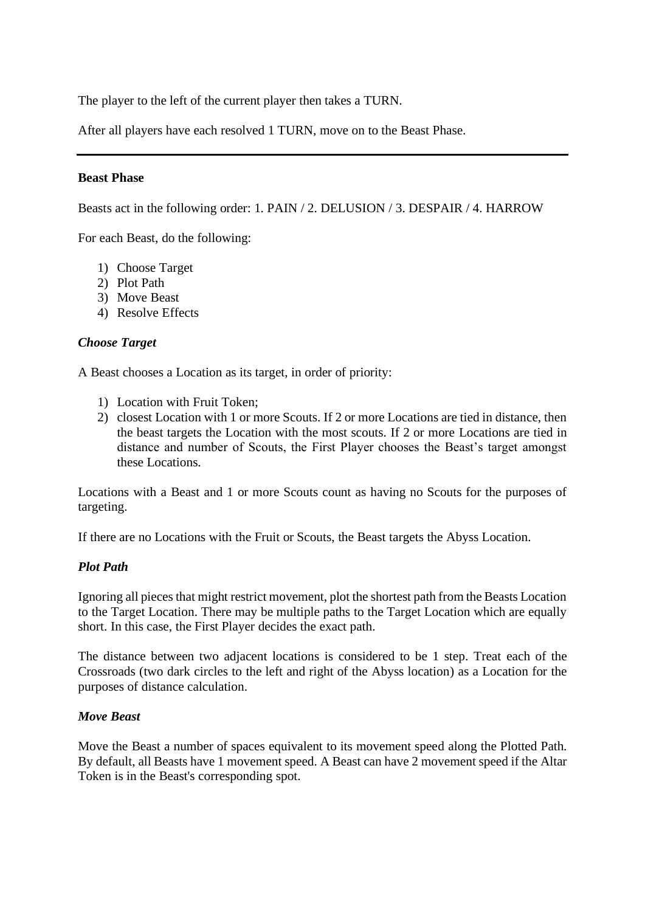The player to the left of the current player then takes a TURN.

After all players have each resolved 1 TURN, move on to the Beast Phase.

#### **Beast Phase**

Beasts act in the following order: 1. PAIN / 2. DELUSION / 3. DESPAIR / 4. HARROW

For each Beast, do the following:

- 1) Choose Target
- 2) Plot Path
- 3) Move Beast
- 4) Resolve Effects

#### *Choose Target*

A Beast chooses a Location as its target, in order of priority:

- 1) Location with Fruit Token;
- 2) closest Location with 1 or more Scouts. If 2 or more Locations are tied in distance, then the beast targets the Location with the most scouts. If 2 or more Locations are tied in distance and number of Scouts, the First Player chooses the Beast's target amongst these Locations.

Locations with a Beast and 1 or more Scouts count as having no Scouts for the purposes of targeting.

If there are no Locations with the Fruit or Scouts, the Beast targets the Abyss Location.

### *Plot Path*

Ignoring all pieces that might restrict movement, plot the shortest path from the Beasts Location to the Target Location. There may be multiple paths to the Target Location which are equally short. In this case, the First Player decides the exact path.

The distance between two adjacent locations is considered to be 1 step. Treat each of the Crossroads (two dark circles to the left and right of the Abyss location) as a Location for the purposes of distance calculation.

#### *Move Beast*

Move the Beast a number of spaces equivalent to its movement speed along the Plotted Path. By default, all Beasts have 1 movement speed. A Beast can have 2 movement speed if the Altar Token is in the Beast's corresponding spot.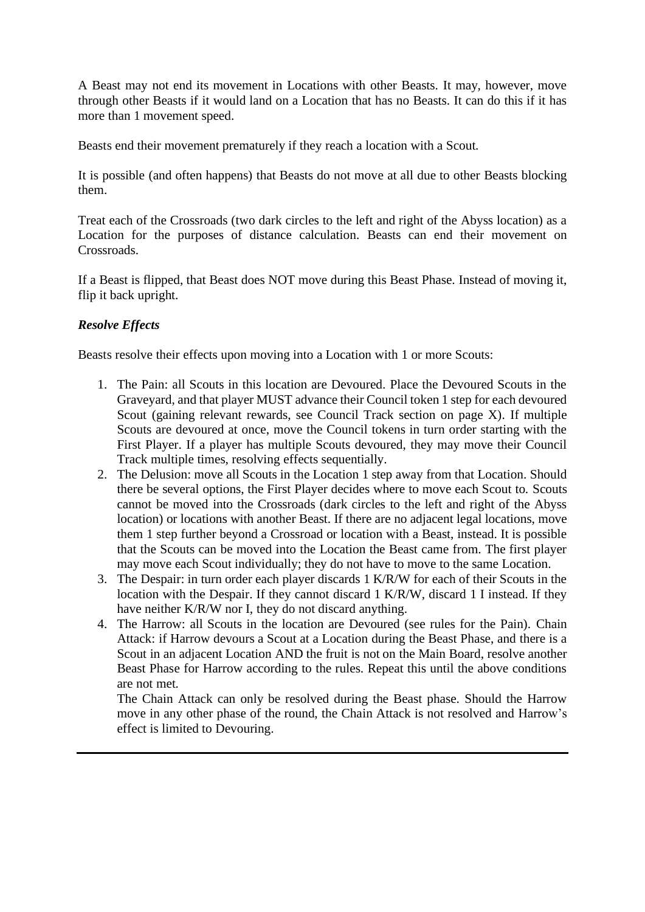A Beast may not end its movement in Locations with other Beasts. It may, however, move through other Beasts if it would land on a Location that has no Beasts. It can do this if it has more than 1 movement speed.

Beasts end their movement prematurely if they reach a location with a Scout.

It is possible (and often happens) that Beasts do not move at all due to other Beasts blocking them.

Treat each of the Crossroads (two dark circles to the left and right of the Abyss location) as a Location for the purposes of distance calculation. Beasts can end their movement on Crossroads.

If a Beast is flipped, that Beast does NOT move during this Beast Phase. Instead of moving it, flip it back upright.

### *Resolve Effects*

Beasts resolve their effects upon moving into a Location with 1 or more Scouts:

- 1. The Pain: all Scouts in this location are Devoured. Place the Devoured Scouts in the Graveyard, and that player MUST advance their Council token 1 step for each devoured Scout (gaining relevant rewards, see Council Track section on page X). If multiple Scouts are devoured at once, move the Council tokens in turn order starting with the First Player. If a player has multiple Scouts devoured, they may move their Council Track multiple times, resolving effects sequentially.
- 2. The Delusion: move all Scouts in the Location 1 step away from that Location. Should there be several options, the First Player decides where to move each Scout to. Scouts cannot be moved into the Crossroads (dark circles to the left and right of the Abyss location) or locations with another Beast. If there are no adjacent legal locations, move them 1 step further beyond a Crossroad or location with a Beast, instead. It is possible that the Scouts can be moved into the Location the Beast came from. The first player may move each Scout individually; they do not have to move to the same Location.
- 3. The Despair: in turn order each player discards 1 K/R/W for each of their Scouts in the location with the Despair. If they cannot discard 1 K/R/W, discard 1 I instead. If they have neither K/R/W nor I, they do not discard anything.
- 4. The Harrow: all Scouts in the location are Devoured (see rules for the Pain). Chain Attack: if Harrow devours a Scout at a Location during the Beast Phase, and there is a Scout in an adjacent Location AND the fruit is not on the Main Board, resolve another Beast Phase for Harrow according to the rules. Repeat this until the above conditions are not met.

The Chain Attack can only be resolved during the Beast phase. Should the Harrow move in any other phase of the round, the Chain Attack is not resolved and Harrow's effect is limited to Devouring.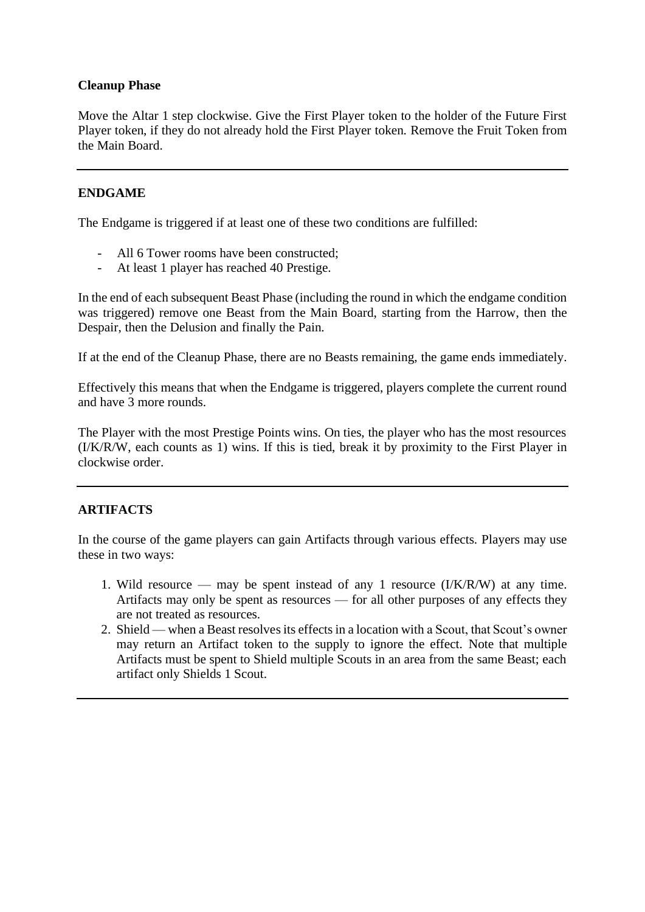#### **Cleanup Phase**

Move the Altar 1 step clockwise. Give the First Player token to the holder of the Future First Player token, if they do not already hold the First Player token. Remove the Fruit Token from the Main Board.

#### **ENDGAME**

The Endgame is triggered if at least one of these two conditions are fulfilled:

- All 6 Tower rooms have been constructed;
- At least 1 player has reached 40 Prestige.

In the end of each subsequent Beast Phase (including the round in which the endgame condition was triggered) remove one Beast from the Main Board, starting from the Harrow, then the Despair, then the Delusion and finally the Pain.

If at the end of the Cleanup Phase, there are no Beasts remaining, the game ends immediately.

Effectively this means that when the Endgame is triggered, players complete the current round and have 3 more rounds.

The Player with the most Prestige Points wins. On ties, the player who has the most resources (I/K/R/W, each counts as 1) wins. If this is tied, break it by proximity to the First Player in clockwise order.

### **ARTIFACTS**

In the course of the game players can gain Artifacts through various effects. Players may use these in two ways:

- 1. Wild resource may be spent instead of any 1 resource (I/K/R/W) at any time. Artifacts may only be spent as resources — for all other purposes of any effects they are not treated as resources.
- 2. Shield when a Beast resolves its effects in a location with a Scout, that Scout's owner may return an Artifact token to the supply to ignore the effect. Note that multiple Artifacts must be spent to Shield multiple Scouts in an area from the same Beast; each artifact only Shields 1 Scout.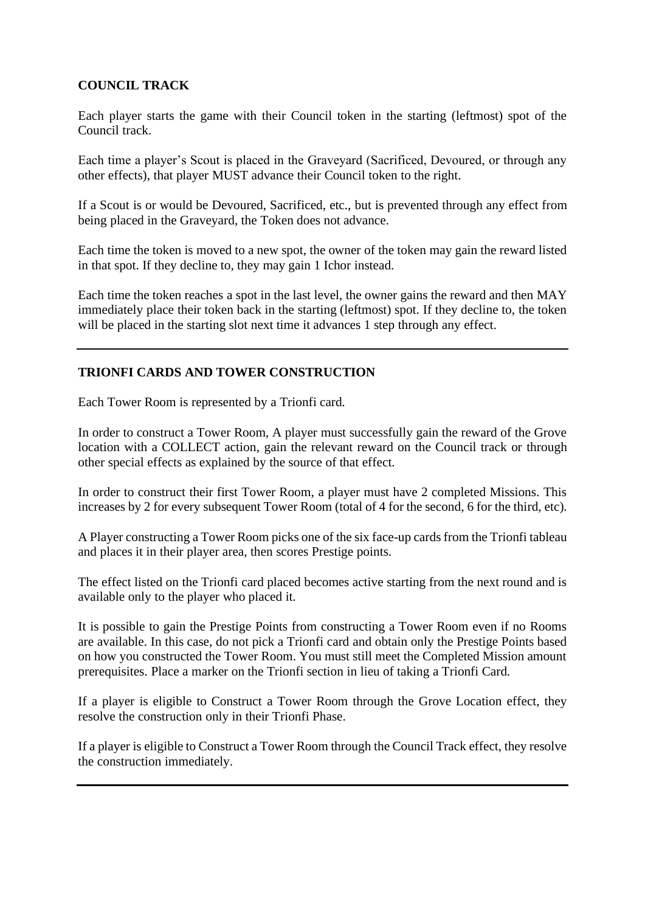### **COUNCIL TRACK**

Each player starts the game with their Council token in the starting (leftmost) spot of the Council track.

Each time a player's Scout is placed in the Graveyard (Sacrificed, Devoured, or through any other effects), that player MUST advance their Council token to the right.

If a Scout is or would be Devoured, Sacrificed, etc., but is prevented through any effect from being placed in the Graveyard, the Token does not advance.

Each time the token is moved to a new spot, the owner of the token may gain the reward listed in that spot. If they decline to, they may gain 1 Ichor instead.

Each time the token reaches a spot in the last level, the owner gains the reward and then MAY immediately place their token back in the starting (leftmost) spot. If they decline to, the token will be placed in the starting slot next time it advances 1 step through any effect.

### **TRIONFI CARDS AND TOWER CONSTRUCTION**

Each Tower Room is represented by a Trionfi card.

In order to construct a Tower Room, A player must successfully gain the reward of the Grove location with a COLLECT action, gain the relevant reward on the Council track or through other special effects as explained by the source of that effect.

In order to construct their first Tower Room, a player must have 2 completed Missions. This increases by 2 for every subsequent Tower Room (total of 4 for the second, 6 for the third, etc).

A Player constructing a Tower Room picks one of the six face-up cards from the Trionfi tableau and places it in their player area, then scores Prestige points.

The effect listed on the Trionfi card placed becomes active starting from the next round and is available only to the player who placed it.

It is possible to gain the Prestige Points from constructing a Tower Room even if no Rooms are available. In this case, do not pick a Trionfi card and obtain only the Prestige Points based on how you constructed the Tower Room. You must still meet the Completed Mission amount prerequisites. Place a marker on the Trionfi section in lieu of taking a Trionfi Card.

If a player is eligible to Construct a Tower Room through the Grove Location effect, they resolve the construction only in their Trionfi Phase.

If a player is eligible to Construct a Tower Room through the Council Track effect, they resolve the construction immediately.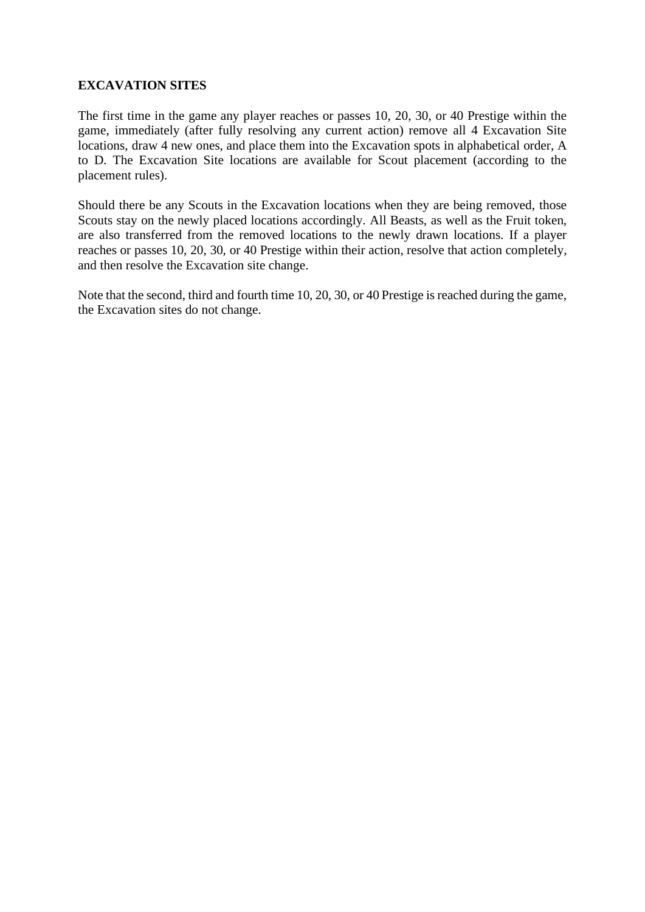### **EXCAVATION SITES**

The first time in the game any player reaches or passes 10, 20, 30, or 40 Prestige within the game, immediately (after fully resolving any current action) remove all 4 Excavation Site locations, draw 4 new ones, and place them into the Excavation spots in alphabetical order, A to D. The Excavation Site locations are available for Scout placement (according to the placement rules).

Should there be any Scouts in the Excavation locations when they are being removed, those Scouts stay on the newly placed locations accordingly. All Beasts, as well as the Fruit token, are also transferred from the removed locations to the newly drawn locations. If a player reaches or passes 10, 20, 30, or 40 Prestige within their action, resolve that action completely, and then resolve the Excavation site change.

Note that the second, third and fourth time 10, 20, 30, or 40 Prestige is reached during the game, the Excavation sites do not change.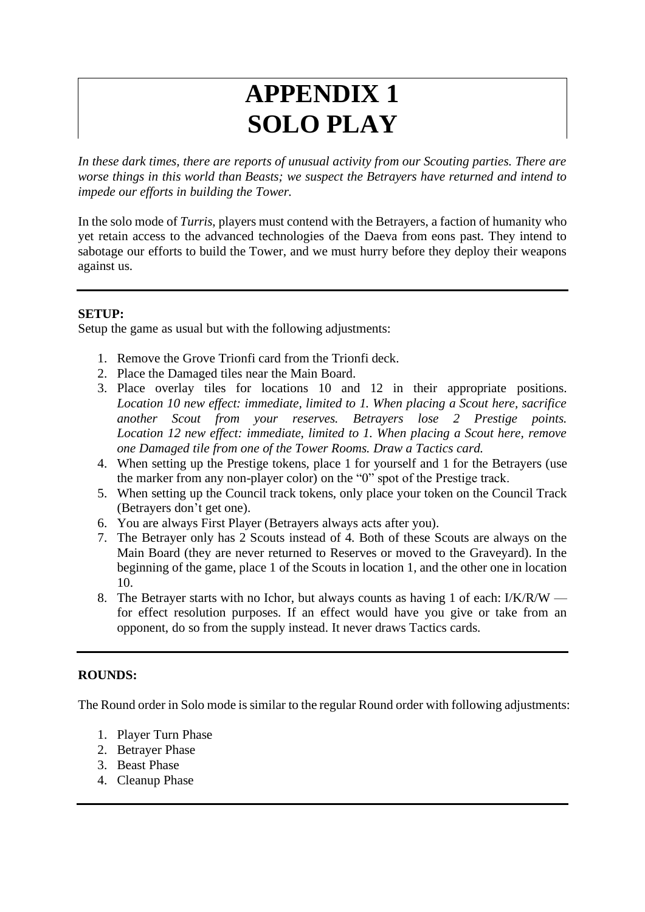## **APPENDIX 1 SOLO PLAY**

*In these dark times, there are reports of unusual activity from our Scouting parties. There are worse things in this world than Beasts; we suspect the Betrayers have returned and intend to impede our efforts in building the Tower.* 

In the solo mode of *Turris*, players must contend with the Betrayers, a faction of humanity who yet retain access to the advanced technologies of the Daeva from eons past. They intend to sabotage our efforts to build the Tower, and we must hurry before they deploy their weapons against us.

### **SETUP:**

Setup the game as usual but with the following adjustments:

- 1. Remove the Grove Trionfi card from the Trionfi deck.
- 2. Place the Damaged tiles near the Main Board.
- 3. Place overlay tiles for locations 10 and 12 in their appropriate positions. *Location 10 new effect: immediate, limited to 1. When placing a Scout here, sacrifice another Scout from your reserves. Betrayers lose 2 Prestige points. Location 12 new effect: immediate, limited to 1. When placing a Scout here, remove one Damaged tile from one of the Tower Rooms. Draw a Tactics card.*
- 4. When setting up the Prestige tokens, place 1 for yourself and 1 for the Betrayers (use the marker from any non-player color) on the "0" spot of the Prestige track.
- 5. When setting up the Council track tokens, only place your token on the Council Track (Betrayers don't get one).
- 6. You are always First Player (Betrayers always acts after you).
- 7. The Betrayer only has 2 Scouts instead of 4. Both of these Scouts are always on the Main Board (they are never returned to Reserves or moved to the Graveyard). In the beginning of the game, place 1 of the Scouts in location 1, and the other one in location 10.
- 8. The Betrayer starts with no Ichor, but always counts as having 1 of each: I/K/R/W for effect resolution purposes. If an effect would have you give or take from an opponent, do so from the supply instead. It never draws Tactics cards.

### **ROUNDS:**

The Round order in Solo mode is similar to the regular Round order with following adjustments:

- 1. Player Turn Phase
- 2. Betrayer Phase
- 3. Beast Phase
- 4. Cleanup Phase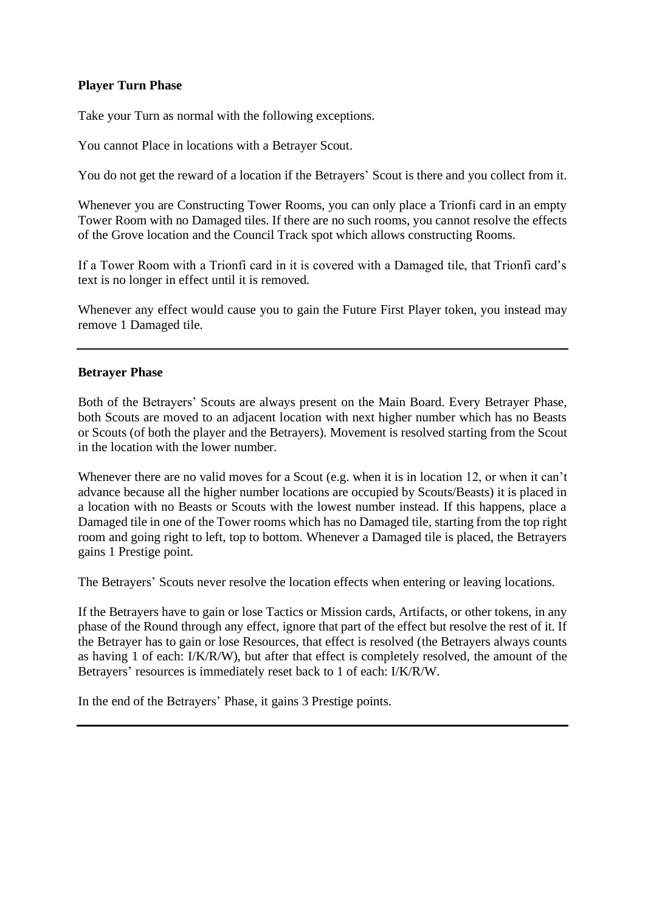#### **Player Turn Phase**

Take your Turn as normal with the following exceptions.

You cannot Place in locations with a Betrayer Scout.

You do not get the reward of a location if the Betrayers' Scout is there and you collect from it.

Whenever you are Constructing Tower Rooms, you can only place a Trionfi card in an empty Tower Room with no Damaged tiles. If there are no such rooms, you cannot resolve the effects of the Grove location and the Council Track spot which allows constructing Rooms.

If a Tower Room with a Trionfi card in it is covered with a Damaged tile, that Trionfi card's text is no longer in effect until it is removed.

Whenever any effect would cause you to gain the Future First Player token, you instead may remove 1 Damaged tile.

#### **Betrayer Phase**

Both of the Betrayers' Scouts are always present on the Main Board. Every Betrayer Phase, both Scouts are moved to an adjacent location with next higher number which has no Beasts or Scouts (of both the player and the Betrayers). Movement is resolved starting from the Scout in the location with the lower number.

Whenever there are no valid moves for a Scout (e.g. when it is in location 12, or when it can't advance because all the higher number locations are occupied by Scouts/Beasts) it is placed in a location with no Beasts or Scouts with the lowest number instead. If this happens, place a Damaged tile in one of the Tower rooms which has no Damaged tile, starting from the top right room and going right to left, top to bottom. Whenever a Damaged tile is placed, the Betrayers gains 1 Prestige point.

The Betrayers' Scouts never resolve the location effects when entering or leaving locations.

If the Betrayers have to gain or lose Tactics or Mission cards, Artifacts, or other tokens, in any phase of the Round through any effect, ignore that part of the effect but resolve the rest of it. If the Betrayer has to gain or lose Resources, that effect is resolved (the Betrayers always counts as having 1 of each: I/K/R/W), but after that effect is completely resolved, the amount of the Betrayers' resources is immediately reset back to 1 of each: I/K/R/W.

In the end of the Betrayers' Phase, it gains 3 Prestige points.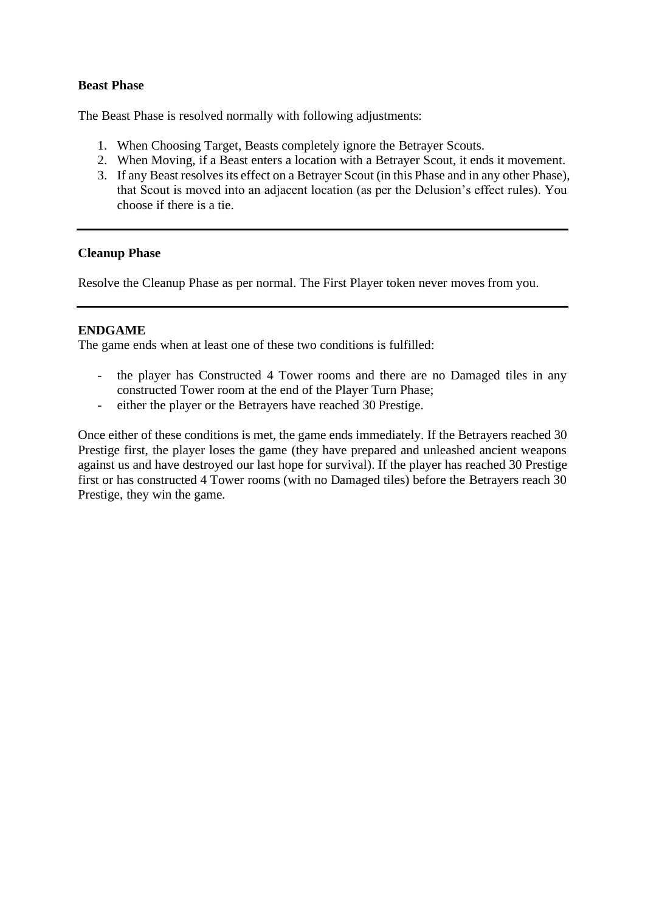#### **Beast Phase**

The Beast Phase is resolved normally with following adjustments:

- 1. When Choosing Target, Beasts completely ignore the Betrayer Scouts.
- 2. When Moving, if a Beast enters a location with a Betrayer Scout, it ends it movement.
- 3. If any Beast resolves its effect on a Betrayer Scout (in this Phase and in any other Phase), that Scout is moved into an adjacent location (as per the Delusion's effect rules). You choose if there is a tie.

#### **Cleanup Phase**

Resolve the Cleanup Phase as per normal. The First Player token never moves from you.

#### **ENDGAME**

The game ends when at least one of these two conditions is fulfilled:

- the player has Constructed 4 Tower rooms and there are no Damaged tiles in any constructed Tower room at the end of the Player Turn Phase;
- either the player or the Betrayers have reached 30 Prestige.

Once either of these conditions is met, the game ends immediately. If the Betrayers reached 30 Prestige first, the player loses the game (they have prepared and unleashed ancient weapons against us and have destroyed our last hope for survival). If the player has reached 30 Prestige first or has constructed 4 Tower rooms (with no Damaged tiles) before the Betrayers reach 30 Prestige, they win the game.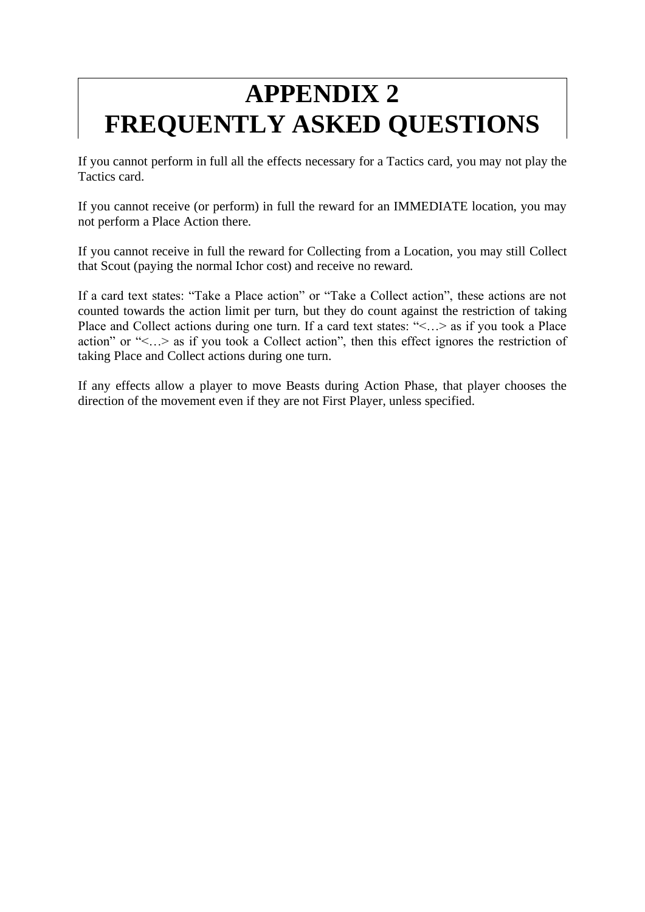# **APPENDIX 2 FREQUENTLY ASKED QUESTIONS**

If you cannot perform in full all the effects necessary for a Tactics card, you may not play the Tactics card.

If you cannot receive (or perform) in full the reward for an IMMEDIATE location, you may not perform a Place Action there.

If you cannot receive in full the reward for Collecting from a Location, you may still Collect that Scout (paying the normal Ichor cost) and receive no reward.

If a card text states: "Take a Place action" or "Take a Collect action", these actions are not counted towards the action limit per turn, but they do count against the restriction of taking Place and Collect actions during one turn. If a card text states: "<…> as if you took a Place action" or "<…> as if you took a Collect action", then this effect ignores the restriction of taking Place and Collect actions during one turn.

If any effects allow a player to move Beasts during Action Phase, that player chooses the direction of the movement even if they are not First Player, unless specified.